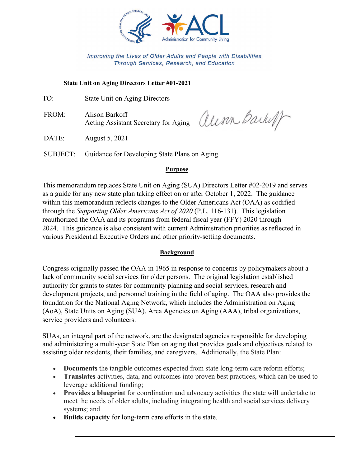

Improving the Lives of Older Adults and People with Disabilities Through Services, Research, and Education

#### **State Unit on Aging Directors Letter #01-2021**

- TO: State Unit on Aging Directors
- FROM: Alison Barkoff Acting Assistant Secretary for Aging

aum Backof

DATE: August 5, 2021

SUBJECT: Guidance for Developing State Plans on Aging

#### **Purpose**

This memorandum replaces State Unit on Aging (SUA) Directors Letter #02-2019 and serves as a guide for any new state plan taking effect on or after October 1, 2022. The guidance within this memorandum reflects changes to the Older Americans Act (OAA) as codified through the *Supporting Older Americans Act of 2020* (P.L. 116-131). This legislation reauthorized the OAA and its programs from federal fiscal year (FFY) 2020 through 2024. This guidance is also consistent with current Administration priorities as reflected in various Presidential Executive Orders and other priority-setting documents.

#### **Background**

Congress originally passed the OAA in 1965 in response to concerns by policymakers about a lack of community social services for older persons. The original legislation established authority for grants to states for community planning and social services, research and development projects, and personnel training in the field of aging. The OAA also provides the foundation for the National Aging Network, which includes the Administration on Aging (AoA), State Units on Aging (SUA), Area Agencies on Aging (AAA), tribal organizations, service providers and volunteers.

SUAs, an integral part of the network, are the designated agencies responsible for developing and administering a multi-year State Plan on aging that provides goals and objectives related to assisting older residents, their families, and caregivers. Additionally, the State Plan:

- **Documents** the tangible outcomes expected from state long-term care reform efforts;
- **Translates** activities, data, and outcomes into proven best practices, which can be used to leverage additional funding;
- **Provides a blueprint** for coordination and advocacy activities the state will undertake to meet the needs of older adults, including integrating health and social services delivery systems; and
- **Builds capacity** for long-term care efforts in the state.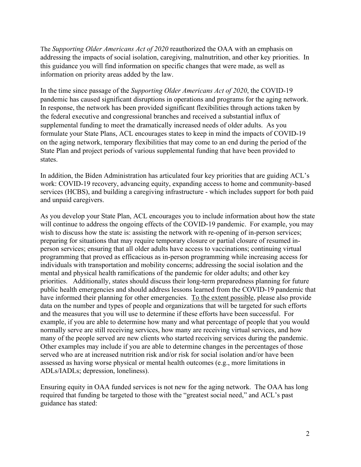The *Supporting Older Americans Act of 2020* reauthorized the OAA with an emphasis on addressing the impacts of social isolation, caregiving, malnutrition, and other key priorities. In this guidance you will find information on specific changes that were made, as well as information on priority areas added by the law.

In the time since passage of the *Supporting Older Americans Act of 2020*, the COVID-19 pandemic has caused significant disruptions in operations and programs for the aging network. In response, the network has been provided significant flexibilities through actions taken by the federal executive and congressional branches and received a substantial influx of supplemental funding to meet the dramatically increased needs of older adults. As you formulate your State Plans, ACL encourages states to keep in mind the impacts of COVID-19 on the aging network, temporary flexibilities that may come to an end during the period of the State Plan and project periods of various supplemental funding that have been provided to states.

In addition, the Biden Administration has articulated four key priorities that are guiding ACL's work: COVID-19 recovery, advancing equity, expanding access to home and community-based services (HCBS), and building a caregiving infrastructure - which includes support for both paid and unpaid caregivers.

As you develop your State Plan, ACL encourages you to include information about how the state will continue to address the ongoing effects of the COVID-19 pandemic. For example, you may wish to discuss how the state is: assisting the network with re-opening of in-person services; preparing for situations that may require temporary closure or partial closure of resumed inperson services; ensuring that all older adults have access to vaccinations; continuing virtual programming that proved as efficacious as in-person programming while increasing access for individuals with transportation and mobility concerns; addressing the social isolation and the mental and physical health ramifications of the pandemic for older adults; and other key priorities. Additionally, states should discuss their long-term preparedness planning for future public health emergencies and should address lessons learned from the COVID-19 pandemic that have informed their planning for other emergencies. To the extent possible, please also provide data on the number and types of people and organizations that will be targeted for such efforts and the measures that you will use to determine if these efforts have been successful. For example, if you are able to determine how many and what percentage of people that you would normally serve are still receiving services, how many are receiving virtual services, and how many of the people served are new clients who started receiving services during the pandemic. Other examples may include if you are able to determine changes in the percentages of those served who are at increased nutrition risk and/or risk for social isolation and/or have been assessed as having worse physical or mental health outcomes (e.g., more limitations in ADLs/IADLs; depression, loneliness).

Ensuring equity in OAA funded services is not new for the aging network. The OAA has long required that funding be targeted to those with the "greatest social need," and ACL's past guidance has stated: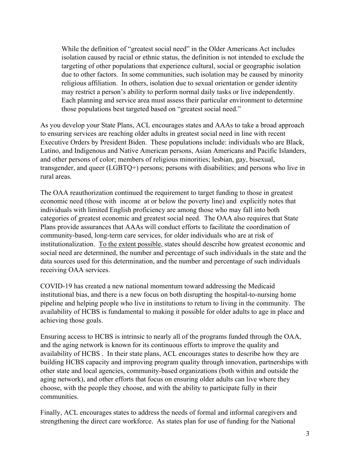While the definition of "greatest social need" in the Older Americans Act includes isolation caused by racial or ethnic status, the definition is not intended to exclude the targeting of other populations that experience cultural, social or geographic isolation due to other factors. In some communities, such isolation may be caused by minority religious affiliation. In others, isolation due to sexual orientation or gender identity may restrict a person's ability to perform normal daily tasks or live independently. Each planning and service area must assess their particular environment to determine those populations best targeted based on "greatest social need."

As you develop your State Plans, ACL encourages states and AAAs to take a broad approach to ensuring services are reaching older adults in greatest social need in line with recent Executive Orders by President Biden. These populations include: individuals who are Black, Latino, and Indigenous and Native American persons, Asian Americans and Pacific Islanders, and other persons of color; members of religious minorities; lesbian, gay, bisexual, transgender, and queer (LGBTQ+) persons; persons with disabilities; and persons who live in rural areas.

The OAA reauthorization continued the requirement to target funding to those in greatest economic need (those with income at or below the poverty line) and explicitly notes that individuals with limited English proficiency are among those who may fall into both categories of greatest economic and greatest social need. The OAA also requires that State Plans provide assurances that AAAs will conduct efforts to facilitate the coordination of community-based, long-term care services, for older individuals who are at risk of institutionalization. To the extent possible, states should describe how greatest economic and social need are determined, the number and percentage of such individuals in the state and the data sources used for this determination, and the number and percentage of such individuals receiving OAA services.

COVID-19 has created a new national momentum toward addressing the Medicaid institutional bias, and there is a new focus on both disrupting the hospital-to-nursing home pipeline and helping people who live in institutions to return to living in the community. The availability of HCBS is fundamental to making it possible for older adults to age in place and achieving those goals.

Ensuring access to HCBS is intrinsic to nearly all of the programs funded through the OAA, and the aging network is known for its continuous efforts to improve the quality and availability of HCBS . In their state plans, ACL encourages states to describe how they are building HCBS capacity and improving program quality through innovation, partnerships with other state and local agencies, community-based organizations (both within and outside the aging network), and other efforts that focus on ensuring older adults can live where they choose, with the people they choose, and with the ability to participate fully in their communities.

Finally, ACL encourages states to address the needs of formal and informal caregivers and strengthening the direct care workforce. As states plan for use of funding for the National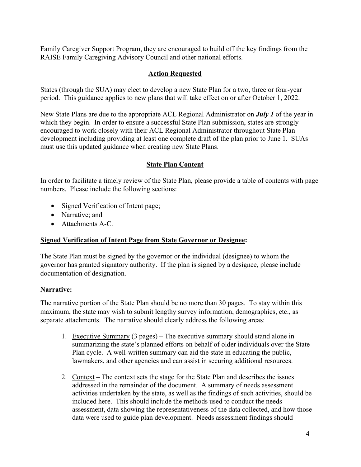Family Caregiver Support Program, they are encouraged to build off the key findings from the RAISE Family Caregiving Advisory Council and other national efforts.

#### **Action Requested**

States (through the SUA) may elect to develop a new State Plan for a two, three or four-year period. This guidance applies to new plans that will take effect on or after October 1, 2022.

New State Plans are due to the appropriate ACL Regional Administrator on *July 1* of the year in which they begin. In order to ensure a successful State Plan submission, states are strongly encouraged to work closely with their ACL Regional Administrator throughout State Plan development including providing at least one complete draft of the plan prior to June 1. SUAs must use this updated guidance when creating new State Plans.

#### **State Plan Content**

In order to facilitate a timely review of the State Plan, please provide a table of contents with page numbers. Please include the following sections:

- Signed Verification of Intent page;
- Narrative: and
- Attachments A-C.

#### **Signed Verification of Intent Page from State Governor or Designee:**

The State Plan must be signed by the governor or the individual (designee) to whom the governor has granted signatory authority. If the plan is signed by a designee, please include documentation of designation.

### **Narrative:**

The narrative portion of the State Plan should be no more than 30 pages*.* To stay within this maximum, the state may wish to submit lengthy survey information, demographics, etc., as separate attachments. The narrative should clearly address the following areas:

- 1. Executive Summary (3 pages) The executive summary should stand alone in summarizing the state's planned efforts on behalf of older individuals over the State Plan cycle. A well-written summary can aid the state in educating the public, lawmakers, and other agencies and can assist in securing additional resources.
- 2. Context The context sets the stage for the State Plan and describes the issues addressed in the remainder of the document. A summary of needs assessment activities undertaken by the state, as well as the findings of such activities, should be included here. This should include the methods used to conduct the needs assessment, data showing the representativeness of the data collected, and how those data were used to guide plan development. Needs assessment findings should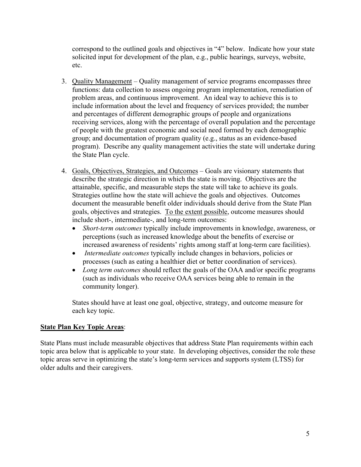correspond to the outlined goals and objectives in "4" below. Indicate how your state solicited input for development of the plan, e.g., public hearings, surveys, website, etc.

- 3. Quality Management Quality management of service programs encompasses three functions: data collection to assess ongoing program implementation, remediation of problem areas, and continuous improvement. An ideal way to achieve this is to include information about the level and frequency of services provided; the number and percentages of different demographic groups of people and organizations receiving services, along with the percentage of overall population and the percentage of people with the greatest economic and social need formed by each demographic group; and documentation of program quality (e.g., status as an evidence-based program). Describe any quality management activities the state will undertake during the State Plan cycle.
- 4. Goals, Objectives, Strategies, and Outcomes Goals are visionary statements that describe the strategic direction in which the state is moving. Objectives are the attainable, specific, and measurable steps the state will take to achieve its goals. Strategies outline how the state will achieve the goals and objectives. Outcomes document the measurable benefit older individuals should derive from the State Plan goals, objectives and strategies. To the extent possible, outcome measures should include short-, intermediate-, and long-term outcomes:
	- *Short-term outcomes* typically include improvements in knowledge, awareness, or perceptions (such as increased knowledge about the benefits of exercise or increased awareness of residents' rights among staff at long-term care facilities).
	- *Intermediate outcomes* typically include changes in behaviors, policies or processes (such as eating a healthier diet or better coordination of services).
	- *Long term outcomes* should reflect the goals of the OAA and/or specific programs (such as individuals who receive OAA services being able to remain in the community longer).

States should have at least one goal, objective, strategy, and outcome measure for each key topic.

#### **State Plan Key Topic Areas**:

State Plans must include measurable objectives that address State Plan requirements within each topic area below that is applicable to your state. In developing objectives, consider the role these topic areas serve in optimizing the state's long-term services and supports system (LTSS) for older adults and their caregivers.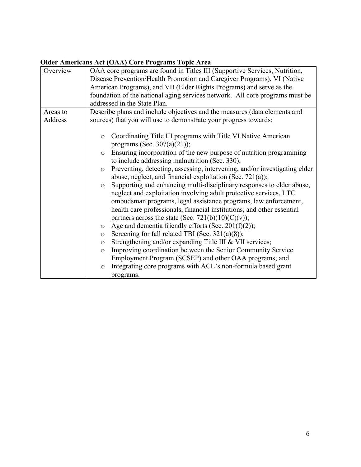## **Older Americans Act (OAA) Core Programs Topic Area**

| Overview | OAA core programs are found in Titles III (Supportive Services, Nutrition,<br>Disease Prevention/Health Promotion and Caregiver Programs), VI (Native |
|----------|-------------------------------------------------------------------------------------------------------------------------------------------------------|
|          | American Programs), and VII (Elder Rights Programs) and serve as the                                                                                  |
|          | foundation of the national aging services network. All core programs must be                                                                          |
|          | addressed in the State Plan.                                                                                                                          |
| Areas to | Describe plans and include objectives and the measures (data elements and                                                                             |
| Address  | sources) that you will use to demonstrate your progress towards:                                                                                      |
|          |                                                                                                                                                       |
|          | Coordinating Title III programs with Title VI Native American<br>$\circ$                                                                              |
|          | programs (Sec. 307(a)(21));                                                                                                                           |
|          | Ensuring incorporation of the new purpose of nutrition programming<br>$\circ$                                                                         |
|          | to include addressing malnutrition (Sec. 330);                                                                                                        |
|          | Preventing, detecting, assessing, intervening, and/or investigating elder<br>$\circ$<br>abuse, neglect, and financial exploitation (Sec. $721(a)$ );  |
|          | Supporting and enhancing multi-disciplinary responses to elder abuse,<br>$\circ$                                                                      |
|          | neglect and exploitation involving adult protective services, LTC                                                                                     |
|          | ombudsman programs, legal assistance programs, law enforcement,                                                                                       |
|          | health care professionals, financial institutions, and other essential                                                                                |
|          | partners across the state (Sec. 721(b)(10)(C)(v));                                                                                                    |
|          | Age and dementia friendly efforts (Sec. $201(f)(2)$ );<br>$\circ$                                                                                     |
|          | Screening for fall related TBI (Sec. $321(a)(8)$ );<br>$\circ$                                                                                        |
|          | Strengthening and/or expanding Title III & VII services;<br>$\circ$                                                                                   |
|          | Improving coordination between the Senior Community Service<br>$\circ$                                                                                |
|          | Employment Program (SCSEP) and other OAA programs; and                                                                                                |
|          | Integrating core programs with ACL's non-formula based grant<br>$\circ$                                                                               |
|          | programs.                                                                                                                                             |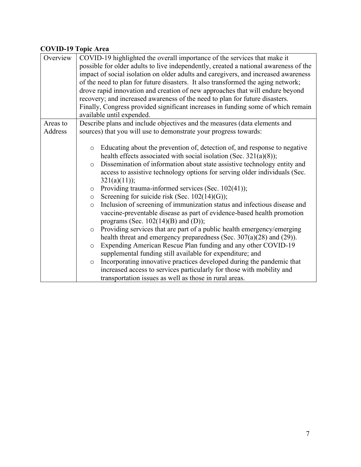## **COVID-19 Topic Area**

| Overview<br>Areas to | COVID-19 highlighted the overall importance of the services that make it<br>possible for older adults to live independently, created a national awareness of the<br>impact of social isolation on older adults and caregivers, and increased awareness<br>of the need to plan for future disasters. It also transformed the aging network;<br>drove rapid innovation and creation of new approaches that will endure beyond<br>recovery; and increased awareness of the need to plan for future disasters.<br>Finally, Congress provided significant increases in funding some of which remain<br>available until expended.<br>Describe plans and include objectives and the measures (data elements and                                                                                                                                                  |
|----------------------|-----------------------------------------------------------------------------------------------------------------------------------------------------------------------------------------------------------------------------------------------------------------------------------------------------------------------------------------------------------------------------------------------------------------------------------------------------------------------------------------------------------------------------------------------------------------------------------------------------------------------------------------------------------------------------------------------------------------------------------------------------------------------------------------------------------------------------------------------------------|
| Address              | sources) that you will use to demonstrate your progress towards:                                                                                                                                                                                                                                                                                                                                                                                                                                                                                                                                                                                                                                                                                                                                                                                          |
|                      | Educating about the prevention of, detection of, and response to negative<br>$\circ$<br>health effects associated with social isolation (Sec. $321(a)(8)$ );<br>Dissemination of information about state assistive technology entity and<br>$\circ$<br>access to assistive technology options for serving older individuals (Sec.<br>321(a)(11);<br>Providing trauma-informed services (Sec. 102(41));<br>$\circ$<br>Screening for suicide risk (Sec. 102(14)(G));<br>$\circ$<br>Inclusion of screening of immunization status and infectious disease and<br>$\circ$<br>vaccine-preventable disease as part of evidence-based health promotion<br>programs (Sec. $102(14)(B)$ and (D));<br>Providing services that are part of a public health emergency/emerging<br>$\circ$<br>health threat and emergency preparedness (Sec. $307(a)(28)$ and $(29)$ ). |
|                      | Expending American Rescue Plan funding and any other COVID-19<br>$\circ$                                                                                                                                                                                                                                                                                                                                                                                                                                                                                                                                                                                                                                                                                                                                                                                  |
|                      | supplemental funding still available for expenditure; and                                                                                                                                                                                                                                                                                                                                                                                                                                                                                                                                                                                                                                                                                                                                                                                                 |
|                      | Incorporating innovative practices developed during the pandemic that<br>$\circ$                                                                                                                                                                                                                                                                                                                                                                                                                                                                                                                                                                                                                                                                                                                                                                          |
|                      | increased access to services particularly for those with mobility and                                                                                                                                                                                                                                                                                                                                                                                                                                                                                                                                                                                                                                                                                                                                                                                     |
|                      | transportation issues as well as those in rural areas.                                                                                                                                                                                                                                                                                                                                                                                                                                                                                                                                                                                                                                                                                                                                                                                                    |
|                      |                                                                                                                                                                                                                                                                                                                                                                                                                                                                                                                                                                                                                                                                                                                                                                                                                                                           |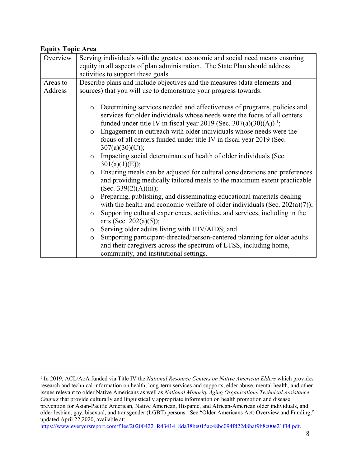#### **Equity Topic Area**

| Overview | Serving individuals with the greatest economic and social need means ensuring                                                                                  |
|----------|----------------------------------------------------------------------------------------------------------------------------------------------------------------|
|          | equity in all aspects of plan administration. The State Plan should address                                                                                    |
|          | activities to support these goals.                                                                                                                             |
| Areas to | Describe plans and include objectives and the measures (data elements and                                                                                      |
| Address  | sources) that you will use to demonstrate your progress towards:                                                                                               |
|          |                                                                                                                                                                |
|          | Determining services needed and effectiveness of programs, policies and<br>$\circ$<br>services for older individuals whose needs were the focus of all centers |
|          | funded under title IV in fiscal year 2019 (Sec. 307(a)(30)(A)) <sup>1</sup> ;                                                                                  |
|          | Engagement in outreach with older individuals whose needs were the<br>$\circ$                                                                                  |
|          | focus of all centers funded under title IV in fiscal year 2019 (Sec.                                                                                           |
|          | $307(a)(30)(C)$ ;                                                                                                                                              |
|          | Impacting social determinants of health of older individuals (Sec.<br>$\circ$                                                                                  |
|          | 301(a)(1)(E);                                                                                                                                                  |
|          | Ensuring meals can be adjusted for cultural considerations and preferences<br>$\circ$                                                                          |
|          | and providing medically tailored meals to the maximum extent practicable                                                                                       |
|          | (Sec. 339 $(2)(A)(iii)$ ;                                                                                                                                      |
|          | Preparing, publishing, and disseminating educational materials dealing<br>$\circ$                                                                              |
|          | with the health and economic welfare of older individuals (Sec. $202(a)(7)$ );                                                                                 |
|          | Supporting cultural experiences, activities, and services, including in the<br>$\circ$                                                                         |
|          | arts (Sec. 202(a)(5));                                                                                                                                         |
|          | Serving older adults living with HIV/AIDS; and<br>$\circ$                                                                                                      |
|          | Supporting participant-directed/person-centered planning for older adults<br>$\circ$                                                                           |
|          | and their caregivers across the spectrum of LTSS, including home,                                                                                              |
|          | community, and institutional settings.                                                                                                                         |

<span id="page-7-0"></span><sup>&</sup>lt;sup>1</sup> In 2019, ACL/AoA funded via Title IV the *National Resource Centers on Native American Elders* which provides research and technical information on health, long-term services and supports, elder abuse, mental health, and other issues relevant to older Native Americans as well as *National Minority Aging Organizations Technical Assistance Centers* that provide culturally and linguistically appropriate information on health promotion and disease prevention for Asian-Pacific American, Native American, Hispanic, and African-American older individuals, and older lesbian, gay, bisexual, and transgender (LGBT) persons. See "Older Americans Act: Overview and Funding," updated April 22,2020, available at:

[https://www.everycrsreport.com/files/20200422\\_R43414\\_8da38be015ac48bc094fd22d8baf9b8c00e21f34.pdf.](https://www.everycrsreport.com/files/20200422_R43414_8da38be015ac48bc094fd22d8baf9b8c00e21f34.pdf)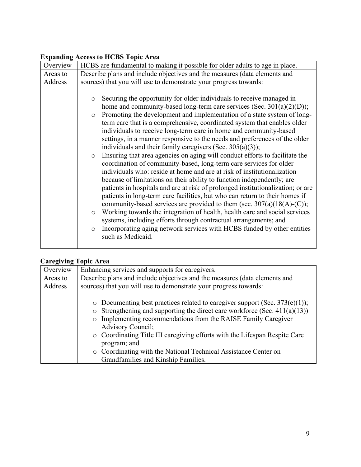## **Expanding Access to HCBS Topic Area**

| Overview | HCBS are fundamental to making it possible for older adults to age in place.                                                                                                                                                                                                                                                                                                                                                                                                                                                                                                                                                                                                                                                                                                                                                                                                                                                                           |
|----------|--------------------------------------------------------------------------------------------------------------------------------------------------------------------------------------------------------------------------------------------------------------------------------------------------------------------------------------------------------------------------------------------------------------------------------------------------------------------------------------------------------------------------------------------------------------------------------------------------------------------------------------------------------------------------------------------------------------------------------------------------------------------------------------------------------------------------------------------------------------------------------------------------------------------------------------------------------|
| Areas to | Describe plans and include objectives and the measures (data elements and                                                                                                                                                                                                                                                                                                                                                                                                                                                                                                                                                                                                                                                                                                                                                                                                                                                                              |
| Address  | sources) that you will use to demonstrate your progress towards:                                                                                                                                                                                                                                                                                                                                                                                                                                                                                                                                                                                                                                                                                                                                                                                                                                                                                       |
|          | Securing the opportunity for older individuals to receive managed in-<br>$\circ$<br>home and community-based long-term care services (Sec. $301(a)(2)(D)$ );<br>Promoting the development and implementation of a state system of long-<br>$\circ$<br>term care that is a comprehensive, coordinated system that enables older<br>individuals to receive long-term care in home and community-based<br>settings, in a manner responsive to the needs and preferences of the older<br>individuals and their family caregivers (Sec. 305(a)(3));<br>Ensuring that area agencies on aging will conduct efforts to facilitate the<br>$\circ$<br>coordination of community-based, long-term care services for older<br>individuals who: reside at home and are at risk of institutionalization<br>because of limitations on their ability to function independently; are<br>patients in hospitals and are at risk of prolonged institutionalization; or are |
|          | patients in long-term care facilities, but who can return to their homes if<br>community-based services are provided to them (sec. $307(a)(18(A)-C)$ );<br>Working towards the integration of health, health care and social services<br>$\circ$<br>systems, including efforts through contractual arrangements; and<br>Incorporating aging network services with HCBS funded by other entities<br>$\circ$<br>such as Medicaid.                                                                                                                                                                                                                                                                                                                                                                                                                                                                                                                        |

### **Caregiving Topic Area**

| $\frac{1}{2}$ |                                                                                         |  |
|---------------|-----------------------------------------------------------------------------------------|--|
| Overview      | Enhancing services and supports for caregivers.                                         |  |
| Areas to      | Describe plans and include objectives and the measures (data elements and               |  |
| Address       | sources) that you will use to demonstrate your progress towards:                        |  |
|               |                                                                                         |  |
|               | Documenting best practices related to caregiver support (Sec. $373(e)(1)$ );<br>$\circ$ |  |
|               | Strengthening and supporting the direct care workforce (Sec. $411(a)(13)$ )<br>$\circ$  |  |
|               | o Implementing recommendations from the RAISE Family Caregiver                          |  |
|               | Advisory Council;                                                                       |  |
|               | Coordinating Title III caregiving efforts with the Lifespan Respite Care<br>$\circ$     |  |
|               | program; and                                                                            |  |
|               | Coordinating with the National Technical Assistance Center on<br>$\circ$                |  |
|               | Grandfamilies and Kinship Families.                                                     |  |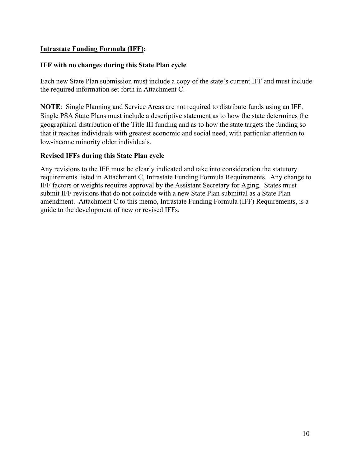#### **Intrastate Funding Formula (IFF):**

#### **IFF with no changes during this State Plan cycle**

Each new State Plan submission must include a copy of the state's current IFF and must include the required information set forth in Attachment C.

**NOTE**: Single Planning and Service Areas are not required to distribute funds using an IFF. Single PSA State Plans must include a descriptive statement as to how the state determines the geographical distribution of the Title III funding and as to how the state targets the funding so that it reaches individuals with greatest economic and social need, with particular attention to low-income minority older individuals.

#### **Revised IFFs during this State Plan cycle**

Any revisions to the IFF must be clearly indicated and take into consideration the statutory requirements listed in Attachment C, Intrastate Funding Formula Requirements. Any change to IFF factors or weights requires approval by the Assistant Secretary for Aging. States must submit IFF revisions that do not coincide with a new State Plan submittal as a State Plan amendment. Attachment C to this memo, Intrastate Funding Formula (IFF) Requirements, is a guide to the development of new or revised IFFs.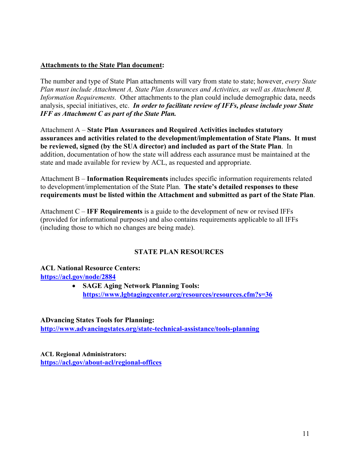#### **Attachments to the State Plan document:**

The number and type of State Plan attachments will vary from state to state; however, *every State Plan must include Attachment A, State Plan Assurances and Activities, as well as Attachment B, Information Requirements.* Other attachments to the plan could include demographic data, needs analysis, special initiatives, etc. *In order to facilitate review of IFFs, please include your State IFF as Attachment C as part of the State Plan.*

Attachment A – **State Plan Assurances and Required Activities includes statutory assurances and activities related to the development/implementation of State Plans. It must be reviewed, signed (by the SUA director) and included as part of the State Plan**. In addition, documentation of how the state will address each assurance must be maintained at the state and made available for review by ACL, as requested and appropriate.

Attachment B – **Information Requirements** includes specific information requirements related to development/implementation of the State Plan. **The state's detailed responses to these requirements must be listed within the Attachment and submitted as part of the State Plan**.

Attachment C – **IFF Requirements** is a guide to the development of new or revised IFFs (provided for informational purposes) and also contains requirements applicable to all IFFs (including those to which no changes are being made).

### **STATE PLAN RESOURCES**

**ACL National Resource Centers: <https://acl.gov/node/2884>**

> • **SAGE Aging Network Planning Tools: <https://www.lgbtagingcenter.org/resources/resources.cfm?s=36>**

#### **ADvancing States Tools for Planning:**

**<http://www.advancingstates.org/state-technical-assistance/tools-planning>**

**ACL Regional Administrators: <https://acl.gov/about-acl/regional-offices>**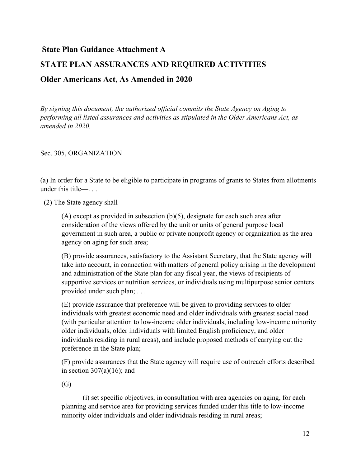#### **State Plan Guidance Attachment A**

# **STATE PLAN ASSURANCES AND REQUIRED ACTIVITIES**

#### **Older Americans Act, As Amended in 2020**

*By signing this document, the authorized official commits the State Agency on Aging to performing all listed assurances and activities as stipulated in the Older Americans Act, as amended in 2020.* 

Sec. 305, ORGANIZATION

(a) In order for a State to be eligible to participate in programs of grants to States from allotments under this title—. . .

(2) The State agency shall—

(A) except as provided in subsection (b)(5), designate for each such area after consideration of the views offered by the unit or units of general purpose local government in such area, a public or private nonprofit agency or organization as the area agency on aging for such area;

(B) provide assurances, satisfactory to the Assistant Secretary, that the State agency will take into account, in connection with matters of general policy arising in the development and administration of the State plan for any fiscal year, the views of recipients of supportive services or nutrition services, or individuals using multipurpose senior centers provided under such plan; . . .

(E) provide assurance that preference will be given to providing services to older individuals with greatest economic need and older individuals with greatest social need (with particular attention to low-income older individuals, including low-income minority older individuals, older individuals with limited English proficiency, and older individuals residing in rural areas), and include proposed methods of carrying out the preference in the State plan;

(F) provide assurances that the State agency will require use of outreach efforts described in section  $307(a)(16)$ ; and

(G)

(i) set specific objectives, in consultation with area agencies on aging, for each planning and service area for providing services funded under this title to low-income minority older individuals and older individuals residing in rural areas;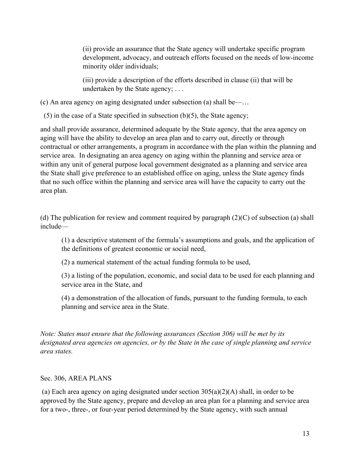(ii) provide an assurance that the State agency will undertake specific program development, advocacy, and outreach efforts focused on the needs of low-income minority older individuals;

(iii) provide a description of the efforts described in clause (ii) that will be undertaken by the State agency; . . .

(c) An area agency on aging designated under subsection (a) shall be—…

(5) in the case of a State specified in subsection  $(b)(5)$ , the State agency;

and shall provide assurance, determined adequate by the State agency, that the area agency on aging will have the ability to develop an area plan and to carry out, directly or through contractual or other arrangements, a program in accordance with the plan within the planning and service area. In designating an area agency on aging within the planning and service area or within any unit of general purpose local government designated as a planning and service area the State shall give preference to an established office on aging, unless the State agency finds that no such office within the planning and service area will have the capacity to carry out the area plan.

(d) The publication for review and comment required by paragraph  $(2)(C)$  of subsection (a) shall include—

(1) a descriptive statement of the formula's assumptions and goals, and the application of the definitions of greatest economic or social need,

(2) a numerical statement of the actual funding formula to be used,

(3) a listing of the population, economic, and social data to be used for each planning and service area in the State, and

(4) a demonstration of the allocation of funds, pursuant to the funding formula, to each planning and service area in the State.

*Note: States must ensure that the following assurances (Section 306) will be met by its designated area agencies on agencies, or by the State in the case of single planning and service area states.*

#### Sec. 306, AREA PLANS

(a) Each area agency on aging designated under section  $305(a)(2)(A)$  shall, in order to be approved by the State agency, prepare and develop an area plan for a planning and service area for a two-, three-, or four-year period determined by the State agency, with such annual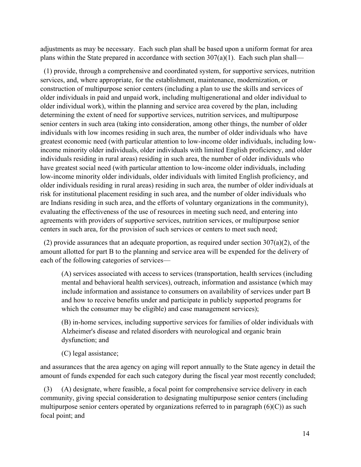adjustments as may be necessary. Each such plan shall be based upon a uniform format for area plans within the State prepared in accordance with section  $307(a)(1)$ . Each such plan shall—

 (1) provide, through a comprehensive and coordinated system, for supportive services, nutrition services, and, where appropriate, for the establishment, maintenance, modernization, or construction of multipurpose senior centers (including a plan to use the skills and services of older individuals in paid and unpaid work, including multigenerational and older individual to older individual work), within the planning and service area covered by the plan, including determining the extent of need for supportive services, nutrition services, and multipurpose senior centers in such area (taking into consideration, among other things, the number of older individuals with low incomes residing in such area, the number of older individuals who have greatest economic need (with particular attention to low-income older individuals, including lowincome minority older individuals, older individuals with limited English proficiency, and older individuals residing in rural areas) residing in such area, the number of older individuals who have greatest social need (with particular attention to low-income older individuals, including low-income minority older individuals, older individuals with limited English proficiency, and older individuals residing in rural areas) residing in such area, the number of older individuals at risk for institutional placement residing in such area, and the number of older individuals who are Indians residing in such area, and the efforts of voluntary organizations in the community), evaluating the effectiveness of the use of resources in meeting such need, and entering into agreements with providers of supportive services, nutrition services, or multipurpose senior centers in such area, for the provision of such services or centers to meet such need;

(2) provide assurances that an adequate proportion, as required under section  $307(a)(2)$ , of the amount allotted for part B to the planning and service area will be expended for the delivery of each of the following categories of services—

(A) services associated with access to services (transportation, health services (including mental and behavioral health services), outreach, information and assistance (which may include information and assistance to consumers on availability of services under part B and how to receive benefits under and participate in publicly supported programs for which the consumer may be eligible) and case management services);

(B) in-home services, including supportive services for families of older individuals with Alzheimer's disease and related disorders with neurological and organic brain dysfunction; and

(C) legal assistance;

and assurances that the area agency on aging will report annually to the State agency in detail the amount of funds expended for each such category during the fiscal year most recently concluded;

 (3) (A) designate, where feasible, a focal point for comprehensive service delivery in each community, giving special consideration to designating multipurpose senior centers (including multipurpose senior centers operated by organizations referred to in paragraph  $(6)(C)$  as such focal point; and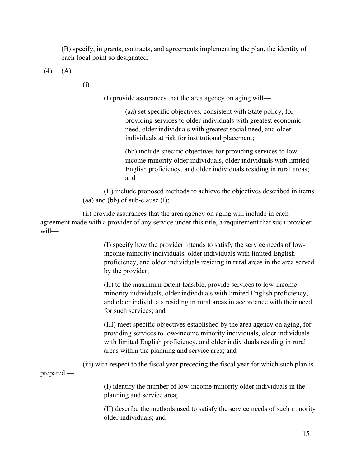(B) specify, in grants, contracts, and agreements implementing the plan, the identity of each focal point so designated;

 $(4)$   $(A)$ 

(i)

(I) provide assurances that the area agency on aging will—

(aa) set specific objectives, consistent with State policy, for providing services to older individuals with greatest economic need, older individuals with greatest social need, and older individuals at risk for institutional placement;

(bb) include specific objectives for providing services to lowincome minority older individuals, older individuals with limited English proficiency, and older individuals residing in rural areas; and

 (II) include proposed methods to achieve the objectives described in items (aa) and (bb) of sub-clause  $(I)$ ;

 (ii) provide assurances that the area agency on aging will include in each agreement made with a provider of any service under this title, a requirement that such provider will—

> (I) specify how the provider intends to satisfy the service needs of lowincome minority individuals, older individuals with limited English proficiency, and older individuals residing in rural areas in the area served by the provider;

(II) to the maximum extent feasible, provide services to low-income minority individuals, older individuals with limited English proficiency, and older individuals residing in rural areas in accordance with their need for such services; and

(III) meet specific objectives established by the area agency on aging, for providing services to low-income minority individuals, older individuals with limited English proficiency, and older individuals residing in rural areas within the planning and service area; and

(iii) with respect to the fiscal year preceding the fiscal year for which such plan is

prepared —

(I) identify the number of low-income minority older individuals in the planning and service area;

(II) describe the methods used to satisfy the service needs of such minority older individuals; and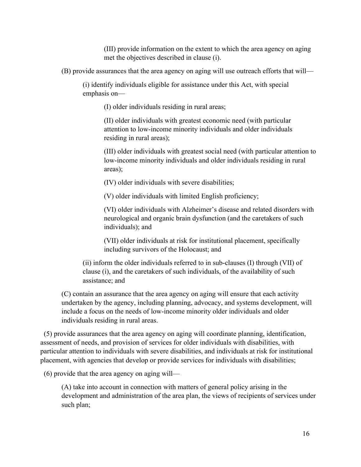(III) provide information on the extent to which the area agency on aging met the objectives described in clause (i).

(B) provide assurances that the area agency on aging will use outreach efforts that will—

(i) identify individuals eligible for assistance under this Act, with special emphasis on—

(I) older individuals residing in rural areas;

(II) older individuals with greatest economic need (with particular attention to low-income minority individuals and older individuals residing in rural areas);

(III) older individuals with greatest social need (with particular attention to low-income minority individuals and older individuals residing in rural areas);

(IV) older individuals with severe disabilities;

(V) older individuals with limited English proficiency;

(VI) older individuals with Alzheimer's disease and related disorders with neurological and organic brain dysfunction (and the caretakers of such individuals); and

(VII) older individuals at risk for institutional placement, specifically including survivors of the Holocaust; and

(ii) inform the older individuals referred to in sub-clauses (I) through (VII) of clause (i), and the caretakers of such individuals, of the availability of such assistance; and

(C) contain an assurance that the area agency on aging will ensure that each activity undertaken by the agency, including planning, advocacy, and systems development, will include a focus on the needs of low-income minority older individuals and older individuals residing in rural areas.

 (5) provide assurances that the area agency on aging will coordinate planning, identification, assessment of needs, and provision of services for older individuals with disabilities, with particular attention to individuals with severe disabilities, and individuals at risk for institutional placement, with agencies that develop or provide services for individuals with disabilities;

(6) provide that the area agency on aging will—

(A) take into account in connection with matters of general policy arising in the development and administration of the area plan, the views of recipients of services under such plan;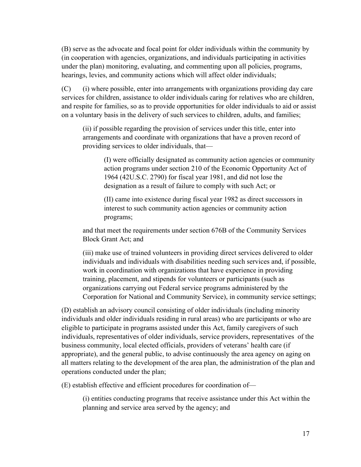(B) serve as the advocate and focal point for older individuals within the community by (in cooperation with agencies, organizations, and individuals participating in activities under the plan) monitoring, evaluating, and commenting upon all policies, programs, hearings, levies, and community actions which will affect older individuals;

(C) (i) where possible, enter into arrangements with organizations providing day care services for children, assistance to older individuals caring for relatives who are children, and respite for families, so as to provide opportunities for older individuals to aid or assist on a voluntary basis in the delivery of such services to children, adults, and families;

(ii) if possible regarding the provision of services under this title, enter into arrangements and coordinate with organizations that have a proven record of providing services to older individuals, that—

(I) were officially designated as community action agencies or community action programs under section 210 of the Economic Opportunity Act of 1964 (42U.S.C. 2790) for fiscal year 1981, and did not lose the designation as a result of failure to comply with such Act; or

(II) came into existence during fiscal year 1982 as direct successors in interest to such community action agencies or community action programs;

and that meet the requirements under section 676B of the Community Services Block Grant Act; and

(iii) make use of trained volunteers in providing direct services delivered to older individuals and individuals with disabilities needing such services and, if possible, work in coordination with organizations that have experience in providing training, placement, and stipends for volunteers or participants (such as organizations carrying out Federal service programs administered by the Corporation for National and Community Service), in community service settings;

(D) establish an advisory council consisting of older individuals (including minority individuals and older individuals residing in rural areas) who are participants or who are eligible to participate in programs assisted under this Act, family caregivers of such individuals, representatives of older individuals, service providers, representatives of the business community, local elected officials, providers of veterans' health care (if appropriate), and the general public, to advise continuously the area agency on aging on all matters relating to the development of the area plan, the administration of the plan and operations conducted under the plan;

(E) establish effective and efficient procedures for coordination of—

(i) entities conducting programs that receive assistance under this Act within the planning and service area served by the agency; and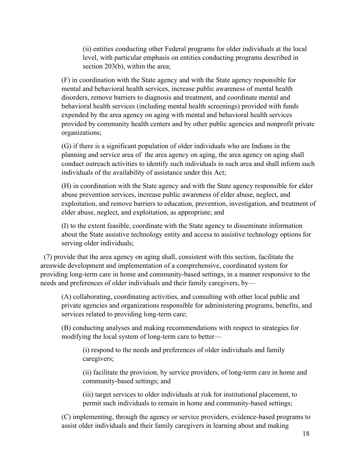(ii) entities conducting other Federal programs for older individuals at the local level, with particular emphasis on entities conducting programs described in section 203(b), within the area;

(F) in coordination with the State agency and with the State agency responsible for mental and behavioral health services, increase public awareness of mental health disorders, remove barriers to diagnosis and treatment, and coordinate mental and behavioral health services (including mental health screenings) provided with funds expended by the area agency on aging with mental and behavioral health services provided by community health centers and by other public agencies and nonprofit private organizations;

(G) if there is a significant population of older individuals who are Indians in the planning and service area of the area agency on aging, the area agency on aging shall conduct outreach activities to identify such individuals in such area and shall inform such individuals of the availability of assistance under this Act;

(H) in coordination with the State agency and with the State agency responsible for elder abuse prevention services, increase public awareness of elder abuse, neglect, and exploitation, and remove barriers to education, prevention, investigation, and treatment of elder abuse, neglect, and exploitation, as appropriate; and

(I) to the extent feasible, coordinate with the State agency to disseminate information about the State assistive technology entity and access to assistive technology options for serving older individuals;

 (7) provide that the area agency on aging shall, consistent with this section, facilitate the areawide development and implementation of a comprehensive, coordinated system for providing long-term care in home and community-based settings, in a manner responsive to the needs and preferences of older individuals and their family caregivers, by—

(A) collaborating, coordinating activities, and consulting with other local public and private agencies and organizations responsible for administering programs, benefits, and services related to providing long-term care;

(B) conducting analyses and making recommendations with respect to strategies for modifying the local system of long-term care to better—

(i) respond to the needs and preferences of older individuals and family caregivers;

(ii) facilitate the provision, by service providers, of long-term care in home and community-based settings; and

(iii) target services to older individuals at risk for institutional placement, to permit such individuals to remain in home and community-based settings;

(C) implementing, through the agency or service providers, evidence-based programs to assist older individuals and their family caregivers in learning about and making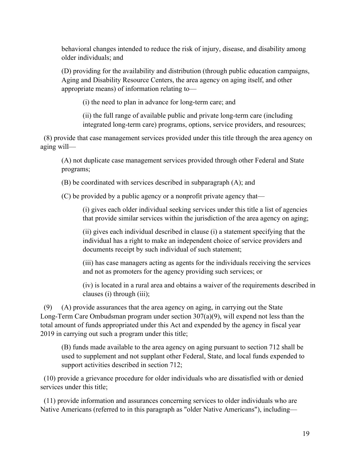behavioral changes intended to reduce the risk of injury, disease, and disability among older individuals; and

(D) providing for the availability and distribution (through public education campaigns, Aging and Disability Resource Centers, the area agency on aging itself, and other appropriate means) of information relating to—

(i) the need to plan in advance for long-term care; and

(ii) the full range of available public and private long-term care (including integrated long-term care) programs, options, service providers, and resources;

 (8) provide that case management services provided under this title through the area agency on aging will—

(A) not duplicate case management services provided through other Federal and State programs;

(B) be coordinated with services described in subparagraph (A); and

(C) be provided by a public agency or a nonprofit private agency that—

(i) gives each older individual seeking services under this title a list of agencies that provide similar services within the jurisdiction of the area agency on aging;

(ii) gives each individual described in clause (i) a statement specifying that the individual has a right to make an independent choice of service providers and documents receipt by such individual of such statement;

(iii) has case managers acting as agents for the individuals receiving the services and not as promoters for the agency providing such services; or

(iv) is located in a rural area and obtains a waiver of the requirements described in clauses (i) through (iii);

 (9) (A) provide assurances that the area agency on aging, in carrying out the State Long-Term Care Ombudsman program under section 307(a)(9), will expend not less than the total amount of funds appropriated under this Act and expended by the agency in fiscal year 2019 in carrying out such a program under this title;

(B) funds made available to the area agency on aging pursuant to section 712 shall be used to supplement and not supplant other Federal, State, and local funds expended to support activities described in section 712;

 (10) provide a grievance procedure for older individuals who are dissatisfied with or denied services under this title;

 (11) provide information and assurances concerning services to older individuals who are Native Americans (referred to in this paragraph as "older Native Americans"), including—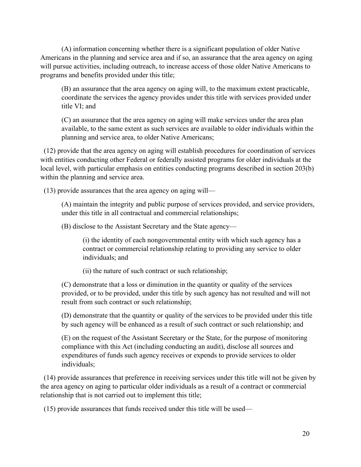(A) information concerning whether there is a significant population of older Native Americans in the planning and service area and if so, an assurance that the area agency on aging will pursue activities, including outreach, to increase access of those older Native Americans to programs and benefits provided under this title;

(B) an assurance that the area agency on aging will, to the maximum extent practicable, coordinate the services the agency provides under this title with services provided under title VI; and

(C) an assurance that the area agency on aging will make services under the area plan available, to the same extent as such services are available to older individuals within the planning and service area, to older Native Americans;

 (12) provide that the area agency on aging will establish procedures for coordination of services with entities conducting other Federal or federally assisted programs for older individuals at the local level, with particular emphasis on entities conducting programs described in section 203(b) within the planning and service area.

(13) provide assurances that the area agency on aging will—

(A) maintain the integrity and public purpose of services provided, and service providers, under this title in all contractual and commercial relationships;

(B) disclose to the Assistant Secretary and the State agency—

(i) the identity of each nongovernmental entity with which such agency has a contract or commercial relationship relating to providing any service to older individuals; and

(ii) the nature of such contract or such relationship;

(C) demonstrate that a loss or diminution in the quantity or quality of the services provided, or to be provided, under this title by such agency has not resulted and will not result from such contract or such relationship;

(D) demonstrate that the quantity or quality of the services to be provided under this title by such agency will be enhanced as a result of such contract or such relationship; and

(E) on the request of the Assistant Secretary or the State, for the purpose of monitoring compliance with this Act (including conducting an audit), disclose all sources and expenditures of funds such agency receives or expends to provide services to older individuals;

 (14) provide assurances that preference in receiving services under this title will not be given by the area agency on aging to particular older individuals as a result of a contract or commercial relationship that is not carried out to implement this title;

(15) provide assurances that funds received under this title will be used—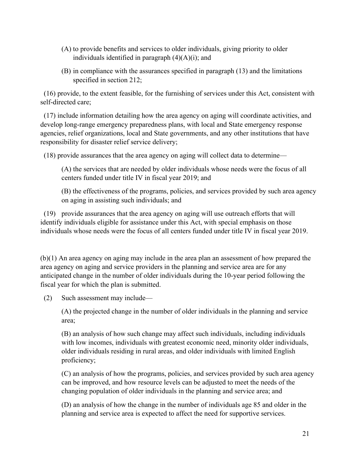- (A) to provide benefits and services to older individuals, giving priority to older individuals identified in paragraph  $(4)(A)(i)$ ; and
- (B) in compliance with the assurances specified in paragraph (13) and the limitations specified in section 212;

 (16) provide, to the extent feasible, for the furnishing of services under this Act, consistent with self-directed care;

 (17) include information detailing how the area agency on aging will coordinate activities, and develop long-range emergency preparedness plans, with local and State emergency response agencies, relief organizations, local and State governments, and any other institutions that have responsibility for disaster relief service delivery;

(18) provide assurances that the area agency on aging will collect data to determine—

(A) the services that are needed by older individuals whose needs were the focus of all centers funded under title IV in fiscal year 2019; and

(B) the effectiveness of the programs, policies, and services provided by such area agency on aging in assisting such individuals; and

 (19) provide assurances that the area agency on aging will use outreach efforts that will identify individuals eligible for assistance under this Act, with special emphasis on those individuals whose needs were the focus of all centers funded under title IV in fiscal year 2019.

(b)(1) An area agency on aging may include in the area plan an assessment of how prepared the area agency on aging and service providers in the planning and service area are for any anticipated change in the number of older individuals during the 10-year period following the fiscal year for which the plan is submitted.

(2) Such assessment may include—

(A) the projected change in the number of older individuals in the planning and service area;

(B) an analysis of how such change may affect such individuals, including individuals with low incomes, individuals with greatest economic need, minority older individuals, older individuals residing in rural areas, and older individuals with limited English proficiency;

(C) an analysis of how the programs, policies, and services provided by such area agency can be improved, and how resource levels can be adjusted to meet the needs of the changing population of older individuals in the planning and service area; and

(D) an analysis of how the change in the number of individuals age 85 and older in the planning and service area is expected to affect the need for supportive services.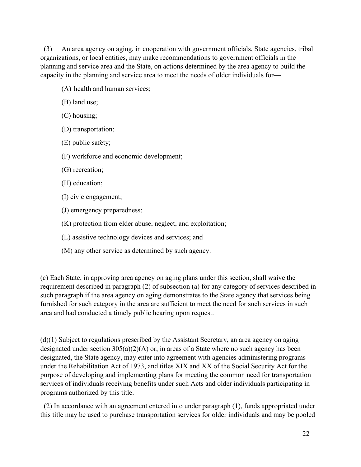(3) An area agency on aging, in cooperation with government officials, State agencies, tribal organizations, or local entities, may make recommendations to government officials in the planning and service area and the State, on actions determined by the area agency to build the capacity in the planning and service area to meet the needs of older individuals for—

- (A) health and human services;
- (B) land use;
- (C) housing;
- (D) transportation;
- (E) public safety;
- (F) workforce and economic development;
- (G) recreation;
- (H) education;
- (I) civic engagement;
- (J) emergency preparedness;
- (K) protection from elder abuse, neglect, and exploitation;
- (L) assistive technology devices and services; and
- (M) any other service as determined by such agency.

(c) Each State, in approving area agency on aging plans under this section, shall waive the requirement described in paragraph (2) of subsection (a) for any category of services described in such paragraph if the area agency on aging demonstrates to the State agency that services being furnished for such category in the area are sufficient to meet the need for such services in such area and had conducted a timely public hearing upon request.

(d)(1) Subject to regulations prescribed by the Assistant Secretary, an area agency on aging designated under section  $305(a)(2)(A)$  or, in areas of a State where no such agency has been designated, the State agency, may enter into agreement with agencies administering programs under the Rehabilitation Act of 1973, and titles XIX and XX of the Social Security Act for the purpose of developing and implementing plans for meeting the common need for transportation services of individuals receiving benefits under such Acts and older individuals participating in programs authorized by this title.

 (2) In accordance with an agreement entered into under paragraph (1), funds appropriated under this title may be used to purchase transportation services for older individuals and may be pooled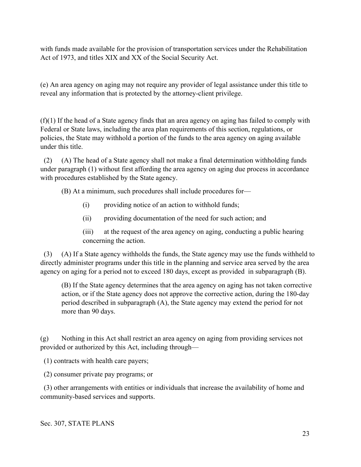with funds made available for the provision of transportation services under the Rehabilitation Act of 1973, and titles XIX and XX of the Social Security Act.

(e) An area agency on aging may not require any provider of legal assistance under this title to reveal any information that is protected by the attorney-client privilege.

(f)(1) If the head of a State agency finds that an area agency on aging has failed to comply with Federal or State laws, including the area plan requirements of this section, regulations, or policies, the State may withhold a portion of the funds to the area agency on aging available under this title.

 (2) (A) The head of a State agency shall not make a final determination withholding funds under paragraph (1) without first affording the area agency on aging due process in accordance with procedures established by the State agency.

(B) At a minimum, such procedures shall include procedures for—

- (i) providing notice of an action to withhold funds;
- (ii) providing documentation of the need for such action; and
- (iii) at the request of the area agency on aging, conducting a public hearing concerning the action.

 (3) (A) If a State agency withholds the funds, the State agency may use the funds withheld to directly administer programs under this title in the planning and service area served by the area agency on aging for a period not to exceed 180 days, except as provided in subparagraph (B).

(B) If the State agency determines that the area agency on aging has not taken corrective action, or if the State agency does not approve the corrective action, during the 180-day period described in subparagraph (A), the State agency may extend the period for not more than 90 days.

(g) Nothing in this Act shall restrict an area agency on aging from providing services not provided or authorized by this Act, including through—

(1) contracts with health care payers;

(2) consumer private pay programs; or

 (3) other arrangements with entities or individuals that increase the availability of home and community-based services and supports.

Sec. 307, STATE PLANS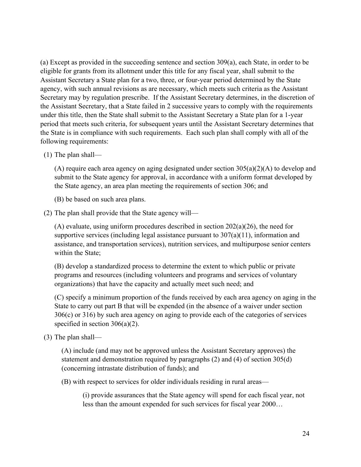(a) Except as provided in the succeeding sentence and section 309(a), each State, in order to be eligible for grants from its allotment under this title for any fiscal year, shall submit to the Assistant Secretary a State plan for a two, three, or four-year period determined by the State agency, with such annual revisions as are necessary, which meets such criteria as the Assistant Secretary may by regulation prescribe. If the Assistant Secretary determines, in the discretion of the Assistant Secretary, that a State failed in 2 successive years to comply with the requirements under this title, then the State shall submit to the Assistant Secretary a State plan for a 1-year period that meets such criteria, for subsequent years until the Assistant Secretary determines that the State is in compliance with such requirements. Each such plan shall comply with all of the following requirements:

(1) The plan shall—

(A) require each area agency on aging designated under section 305(a)(2)(A) to develop and submit to the State agency for approval, in accordance with a uniform format developed by the State agency, an area plan meeting the requirements of section 306; and

(B) be based on such area plans.

(2) The plan shall provide that the State agency will—

(A) evaluate, using uniform procedures described in section  $202(a)(26)$ , the need for supportive services (including legal assistance pursuant to  $307(a)(11)$ , information and assistance, and transportation services), nutrition services, and multipurpose senior centers within the State;

(B) develop a standardized process to determine the extent to which public or private programs and resources (including volunteers and programs and services of voluntary organizations) that have the capacity and actually meet such need; and

(C) specify a minimum proportion of the funds received by each area agency on aging in the State to carry out part B that will be expended (in the absence of a waiver under section 306(c) or 316) by such area agency on aging to provide each of the categories of services specified in section 306(a)(2).

(3) The plan shall—

(A) include (and may not be approved unless the Assistant Secretary approves) the statement and demonstration required by paragraphs (2) and (4) of section 305(d) (concerning intrastate distribution of funds); and

(B) with respect to services for older individuals residing in rural areas—

(i) provide assurances that the State agency will spend for each fiscal year, not less than the amount expended for such services for fiscal year 2000…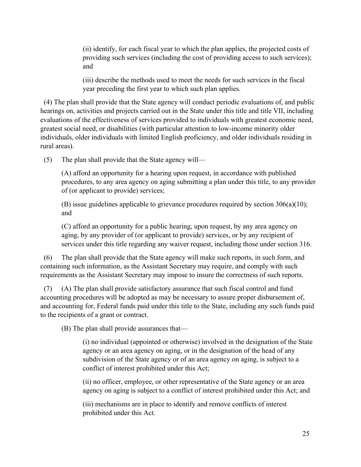(ii) identify, for each fiscal year to which the plan applies, the projected costs of providing such services (including the cost of providing access to such services); and

(iii) describe the methods used to meet the needs for such services in the fiscal year preceding the first year to which such plan applies.

 (4) The plan shall provide that the State agency will conduct periodic evaluations of, and public hearings on, activities and projects carried out in the State under this title and title VII, including evaluations of the effectiveness of services provided to individuals with greatest economic need, greatest social need, or disabilities (with particular attention to low-income minority older individuals, older individuals with limited English proficiency, and older individuals residing in rural areas).

(5) The plan shall provide that the State agency will—

(A) afford an opportunity for a hearing upon request, in accordance with published procedures, to any area agency on aging submitting a plan under this title, to any provider of (or applicant to provide) services;

(B) issue guidelines applicable to grievance procedures required by section 306(a)(10); and

(C) afford an opportunity for a public hearing, upon request, by any area agency on aging, by any provider of (or applicant to provide) services, or by any recipient of services under this title regarding any waiver request, including those under section 316.

 (6) The plan shall provide that the State agency will make such reports, in such form, and containing such information, as the Assistant Secretary may require, and comply with such requirements as the Assistant Secretary may impose to insure the correctness of such reports.

 (7) (A) The plan shall provide satisfactory assurance that such fiscal control and fund accounting procedures will be adopted as may be necessary to assure proper disbursement of, and accounting for, Federal funds paid under this title to the State, including any such funds paid to the recipients of a grant or contract.

(B) The plan shall provide assurances that—

(i) no individual (appointed or otherwise) involved in the designation of the State agency or an area agency on aging, or in the designation of the head of any subdivision of the State agency or of an area agency on aging, is subject to a conflict of interest prohibited under this Act;

(ii) no officer, employee, or other representative of the State agency or an area agency on aging is subject to a conflict of interest prohibited under this Act; and

(iii) mechanisms are in place to identify and remove conflicts of interest prohibited under this Act.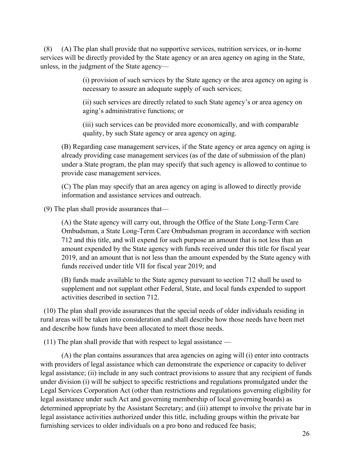(8) (A) The plan shall provide that no supportive services, nutrition services, or in-home services will be directly provided by the State agency or an area agency on aging in the State, unless, in the judgment of the State agency—

> (i) provision of such services by the State agency or the area agency on aging is necessary to assure an adequate supply of such services;

(ii) such services are directly related to such State agency's or area agency on aging's administrative functions; or

(iii) such services can be provided more economically, and with comparable quality, by such State agency or area agency on aging.

(B) Regarding case management services, if the State agency or area agency on aging is already providing case management services (as of the date of submission of the plan) under a State program, the plan may specify that such agency is allowed to continue to provide case management services.

(C) The plan may specify that an area agency on aging is allowed to directly provide information and assistance services and outreach.

(9) The plan shall provide assurances that—

(A) the State agency will carry out, through the Office of the State Long-Term Care Ombudsman, a State Long-Term Care Ombudsman program in accordance with section 712 and this title, and will expend for such purpose an amount that is not less than an amount expended by the State agency with funds received under this title for fiscal year 2019, and an amount that is not less than the amount expended by the State agency with funds received under title VII for fiscal year 2019; and

(B) funds made available to the State agency pursuant to section 712 shall be used to supplement and not supplant other Federal, State, and local funds expended to support activities described in section 712.

 (10) The plan shall provide assurances that the special needs of older individuals residing in rural areas will be taken into consideration and shall describe how those needs have been met and describe how funds have been allocated to meet those needs.

(11) The plan shall provide that with respect to legal assistance —

(A) the plan contains assurances that area agencies on aging will (i) enter into contracts with providers of legal assistance which can demonstrate the experience or capacity to deliver legal assistance; (ii) include in any such contract provisions to assure that any recipient of funds under division (i) will be subject to specific restrictions and regulations promulgated under the Legal Services Corporation Act (other than restrictions and regulations governing eligibility for legal assistance under such Act and governing membership of local governing boards) as determined appropriate by the Assistant Secretary; and (iii) attempt to involve the private bar in legal assistance activities authorized under this title, including groups within the private bar furnishing services to older individuals on a pro bono and reduced fee basis;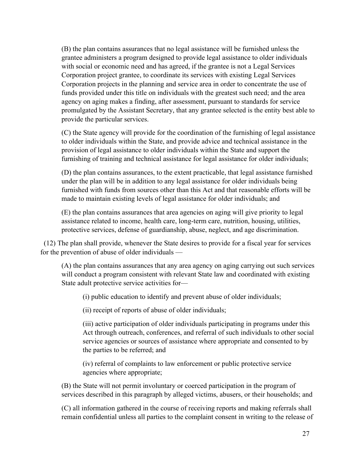(B) the plan contains assurances that no legal assistance will be furnished unless the grantee administers a program designed to provide legal assistance to older individuals with social or economic need and has agreed, if the grantee is not a Legal Services Corporation project grantee, to coordinate its services with existing Legal Services Corporation projects in the planning and service area in order to concentrate the use of funds provided under this title on individuals with the greatest such need; and the area agency on aging makes a finding, after assessment, pursuant to standards for service promulgated by the Assistant Secretary, that any grantee selected is the entity best able to provide the particular services.

(C) the State agency will provide for the coordination of the furnishing of legal assistance to older individuals within the State, and provide advice and technical assistance in the provision of legal assistance to older individuals within the State and support the furnishing of training and technical assistance for legal assistance for older individuals;

(D) the plan contains assurances, to the extent practicable, that legal assistance furnished under the plan will be in addition to any legal assistance for older individuals being furnished with funds from sources other than this Act and that reasonable efforts will be made to maintain existing levels of legal assistance for older individuals; and

(E) the plan contains assurances that area agencies on aging will give priority to legal assistance related to income, health care, long-term care, nutrition, housing, utilities, protective services, defense of guardianship, abuse, neglect, and age discrimination.

 (12) The plan shall provide, whenever the State desires to provide for a fiscal year for services for the prevention of abuse of older individuals —

(A) the plan contains assurances that any area agency on aging carrying out such services will conduct a program consistent with relevant State law and coordinated with existing State adult protective service activities for—

(i) public education to identify and prevent abuse of older individuals;

(ii) receipt of reports of abuse of older individuals;

(iii) active participation of older individuals participating in programs under this Act through outreach, conferences, and referral of such individuals to other social service agencies or sources of assistance where appropriate and consented to by the parties to be referred; and

(iv) referral of complaints to law enforcement or public protective service agencies where appropriate;

(B) the State will not permit involuntary or coerced participation in the program of services described in this paragraph by alleged victims, abusers, or their households; and

(C) all information gathered in the course of receiving reports and making referrals shall remain confidential unless all parties to the complaint consent in writing to the release of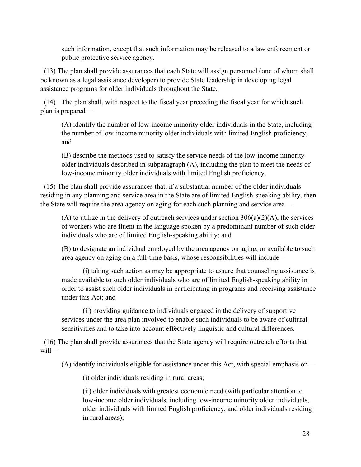such information, except that such information may be released to a law enforcement or public protective service agency.

 (13) The plan shall provide assurances that each State will assign personnel (one of whom shall be known as a legal assistance developer) to provide State leadership in developing legal assistance programs for older individuals throughout the State.

 (14) The plan shall, with respect to the fiscal year preceding the fiscal year for which such plan is prepared—

(A) identify the number of low-income minority older individuals in the State, including the number of low-income minority older individuals with limited English proficiency; and

(B) describe the methods used to satisfy the service needs of the low-income minority older individuals described in subparagraph (A), including the plan to meet the needs of low-income minority older individuals with limited English proficiency.

 (15) The plan shall provide assurances that, if a substantial number of the older individuals residing in any planning and service area in the State are of limited English-speaking ability, then the State will require the area agency on aging for each such planning and service area—

(A) to utilize in the delivery of outreach services under section  $306(a)(2)(A)$ , the services of workers who are fluent in the language spoken by a predominant number of such older individuals who are of limited English-speaking ability; and

(B) to designate an individual employed by the area agency on aging, or available to such area agency on aging on a full-time basis, whose responsibilities will include—

 (i) taking such action as may be appropriate to assure that counseling assistance is made available to such older individuals who are of limited English-speaking ability in order to assist such older individuals in participating in programs and receiving assistance under this Act; and

 (ii) providing guidance to individuals engaged in the delivery of supportive services under the area plan involved to enable such individuals to be aware of cultural sensitivities and to take into account effectively linguistic and cultural differences.

 (16) The plan shall provide assurances that the State agency will require outreach efforts that will—

(A) identify individuals eligible for assistance under this Act, with special emphasis on—

(i) older individuals residing in rural areas;

(ii) older individuals with greatest economic need (with particular attention to low-income older individuals, including low-income minority older individuals, older individuals with limited English proficiency, and older individuals residing in rural areas);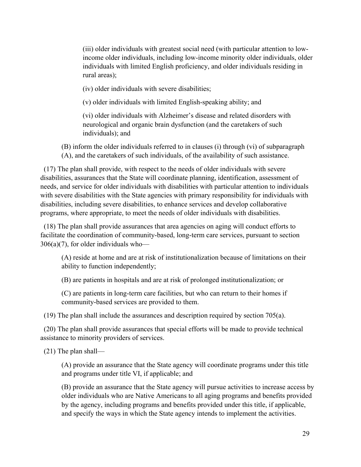(iii) older individuals with greatest social need (with particular attention to lowincome older individuals, including low-income minority older individuals, older individuals with limited English proficiency, and older individuals residing in rural areas);

(iv) older individuals with severe disabilities;

(v) older individuals with limited English-speaking ability; and

(vi) older individuals with Alzheimer's disease and related disorders with neurological and organic brain dysfunction (and the caretakers of such individuals); and

(B) inform the older individuals referred to in clauses (i) through (vi) of subparagraph (A), and the caretakers of such individuals, of the availability of such assistance.

 (17) The plan shall provide, with respect to the needs of older individuals with severe disabilities, assurances that the State will coordinate planning, identification, assessment of needs, and service for older individuals with disabilities with particular attention to individuals with severe disabilities with the State agencies with primary responsibility for individuals with disabilities, including severe disabilities, to enhance services and develop collaborative programs, where appropriate, to meet the needs of older individuals with disabilities.

 (18) The plan shall provide assurances that area agencies on aging will conduct efforts to facilitate the coordination of community-based, long-term care services, pursuant to section  $306(a)(7)$ , for older individuals who—

(A) reside at home and are at risk of institutionalization because of limitations on their ability to function independently;

(B) are patients in hospitals and are at risk of prolonged institutionalization; or

(C) are patients in long-term care facilities, but who can return to their homes if community-based services are provided to them.

(19) The plan shall include the assurances and description required by section 705(a).

 (20) The plan shall provide assurances that special efforts will be made to provide technical assistance to minority providers of services.

(21) The plan shall—

(A) provide an assurance that the State agency will coordinate programs under this title and programs under title VI, if applicable; and

(B) provide an assurance that the State agency will pursue activities to increase access by older individuals who are Native Americans to all aging programs and benefits provided by the agency, including programs and benefits provided under this title, if applicable, and specify the ways in which the State agency intends to implement the activities.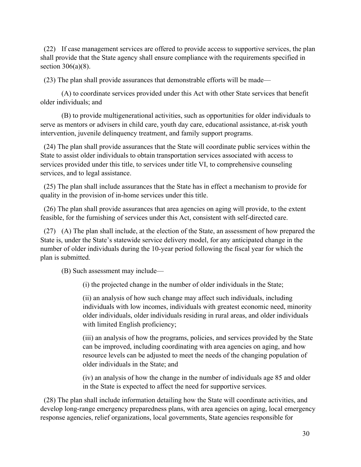(22) If case management services are offered to provide access to supportive services, the plan shall provide that the State agency shall ensure compliance with the requirements specified in section  $306(a)(8)$ .

(23) The plan shall provide assurances that demonstrable efforts will be made—

 (A) to coordinate services provided under this Act with other State services that benefit older individuals; and

 (B) to provide multigenerational activities, such as opportunities for older individuals to serve as mentors or advisers in child care, youth day care, educational assistance, at-risk youth intervention, juvenile delinquency treatment, and family support programs.

 (24) The plan shall provide assurances that the State will coordinate public services within the State to assist older individuals to obtain transportation services associated with access to services provided under this title, to services under title VI, to comprehensive counseling services, and to legal assistance.

 (25) The plan shall include assurances that the State has in effect a mechanism to provide for quality in the provision of in-home services under this title.

 (26) The plan shall provide assurances that area agencies on aging will provide, to the extent feasible, for the furnishing of services under this Act, consistent with self-directed care.

 (27) (A) The plan shall include, at the election of the State, an assessment of how prepared the State is, under the State's statewide service delivery model, for any anticipated change in the number of older individuals during the 10-year period following the fiscal year for which the plan is submitted.

(B) Such assessment may include—

(i) the projected change in the number of older individuals in the State;

(ii) an analysis of how such change may affect such individuals, including individuals with low incomes, individuals with greatest economic need, minority older individuals, older individuals residing in rural areas, and older individuals with limited English proficiency;

(iii) an analysis of how the programs, policies, and services provided by the State can be improved, including coordinating with area agencies on aging, and how resource levels can be adjusted to meet the needs of the changing population of older individuals in the State; and

(iv) an analysis of how the change in the number of individuals age 85 and older in the State is expected to affect the need for supportive services.

 (28) The plan shall include information detailing how the State will coordinate activities, and develop long-range emergency preparedness plans, with area agencies on aging, local emergency response agencies, relief organizations, local governments, State agencies responsible for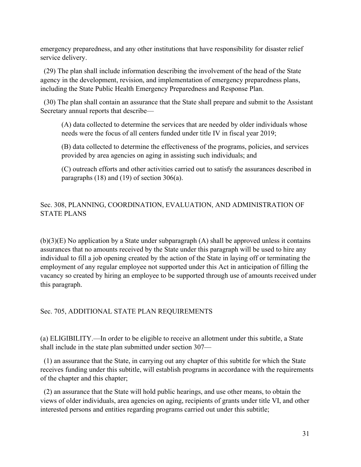emergency preparedness, and any other institutions that have responsibility for disaster relief service delivery.

 (29) The plan shall include information describing the involvement of the head of the State agency in the development, revision, and implementation of emergency preparedness plans, including the State Public Health Emergency Preparedness and Response Plan.

 (30) The plan shall contain an assurance that the State shall prepare and submit to the Assistant Secretary annual reports that describe—

(A) data collected to determine the services that are needed by older individuals whose needs were the focus of all centers funded under title IV in fiscal year 2019;

(B) data collected to determine the effectiveness of the programs, policies, and services provided by area agencies on aging in assisting such individuals; and

(C) outreach efforts and other activities carried out to satisfy the assurances described in paragraphs (18) and (19) of section 306(a).

### Sec. 308, PLANNING, COORDINATION, EVALUATION, AND ADMINISTRATION OF STATE PLANS

 $(b)(3)(E)$  No application by a State under subparagraph  $(A)$  shall be approved unless it contains assurances that no amounts received by the State under this paragraph will be used to hire any individual to fill a job opening created by the action of the State in laying off or terminating the employment of any regular employee not supported under this Act in anticipation of filling the vacancy so created by hiring an employee to be supported through use of amounts received under this paragraph.

#### Sec. 705, ADDITIONAL STATE PLAN REQUIREMENTS

(a) ELIGIBILITY.—In order to be eligible to receive an allotment under this subtitle, a State shall include in the state plan submitted under section 307—

 (1) an assurance that the State, in carrying out any chapter of this subtitle for which the State receives funding under this subtitle, will establish programs in accordance with the requirements of the chapter and this chapter;

 (2) an assurance that the State will hold public hearings, and use other means, to obtain the views of older individuals, area agencies on aging, recipients of grants under title VI, and other interested persons and entities regarding programs carried out under this subtitle;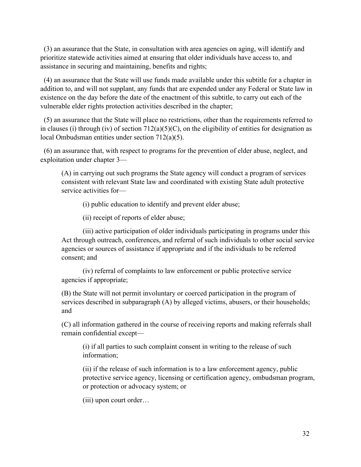(3) an assurance that the State, in consultation with area agencies on aging, will identify and prioritize statewide activities aimed at ensuring that older individuals have access to, and assistance in securing and maintaining, benefits and rights;

 (4) an assurance that the State will use funds made available under this subtitle for a chapter in addition to, and will not supplant, any funds that are expended under any Federal or State law in existence on the day before the date of the enactment of this subtitle, to carry out each of the vulnerable elder rights protection activities described in the chapter;

 (5) an assurance that the State will place no restrictions, other than the requirements referred to in clauses (i) through (iv) of section  $712(a)(5)(C)$ , on the eligibility of entities for designation as local Ombudsman entities under section 712(a)(5).

 (6) an assurance that, with respect to programs for the prevention of elder abuse, neglect, and exploitation under chapter 3—

(A) in carrying out such programs the State agency will conduct a program of services consistent with relevant State law and coordinated with existing State adult protective service activities for—

(i) public education to identify and prevent elder abuse;

(ii) receipt of reports of elder abuse;

 (iii) active participation of older individuals participating in programs under this Act through outreach, conferences, and referral of such individuals to other social service agencies or sources of assistance if appropriate and if the individuals to be referred consent; and

 (iv) referral of complaints to law enforcement or public protective service agencies if appropriate;

(B) the State will not permit involuntary or coerced participation in the program of services described in subparagraph (A) by alleged victims, abusers, or their households; and

(C) all information gathered in the course of receiving reports and making referrals shall remain confidential except—

(i) if all parties to such complaint consent in writing to the release of such information;

(ii) if the release of such information is to a law enforcement agency, public protective service agency, licensing or certification agency, ombudsman program, or protection or advocacy system; or

(iii) upon court order…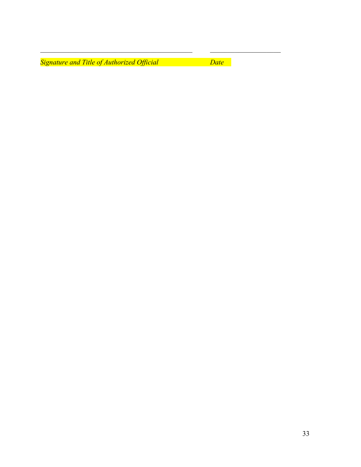*Signature and Title of Authorized Official Date*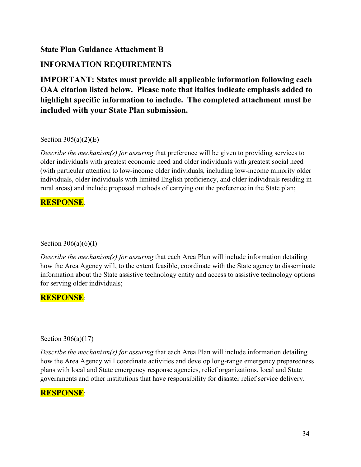## **State Plan Guidance Attachment B**

### **INFORMATION REQUIREMENTS**

**IMPORTANT: States must provide all applicable information following each OAA citation listed below. Please note that italics indicate emphasis added to highlight specific information to include. The completed attachment must be included with your State Plan submission.**

Section  $305(a)(2)(E)$ 

*Describe the mechanism(s) for assuring* that preference will be given to providing services to older individuals with greatest economic need and older individuals with greatest social need (with particular attention to low-income older individuals, including low-income minority older individuals, older individuals with limited English proficiency, and older individuals residing in rural areas) and include proposed methods of carrying out the preference in the State plan;

### **RESPONSE**:

Section  $306(a)(6)(I)$ 

*Describe the mechanism(s) for assuring* that each Area Plan will include information detailing how the Area Agency will, to the extent feasible, coordinate with the State agency to disseminate information about the State assistive technology entity and access to assistive technology options for serving older individuals;

### **RESPONSE**:

#### Section 306(a)(17)

*Describe the mechanism(s) for assuring* that each Area Plan will include information detailing how the Area Agency will coordinate activities and develop long-range emergency preparedness plans with local and State emergency response agencies, relief organizations, local and State governments and other institutions that have responsibility for disaster relief service delivery.

#### **RESPONSE**: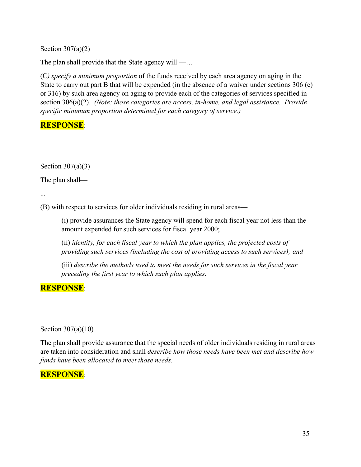Section  $307(a)(2)$ 

The plan shall provide that the State agency will —...

(C*) specify a minimum proportion* of the funds received by each area agency on aging in the State to carry out part B that will be expended (in the absence of a waiver under sections 306 (c) or 316) by such area agency on aging to provide each of the categories of services specified in section 306(a)(2). *(Note: those categories are access, in-home, and legal assistance. Provide specific minimum proportion determined for each category of service.)*

## **RESPONSE**:

Section  $307(a)(3)$ 

The plan shall—

...

(B) with respect to services for older individuals residing in rural areas—

(i) provide assurances the State agency will spend for each fiscal year not less than the amount expended for such services for fiscal year 2000;

(ii) *identify, for each fiscal year to which the plan applies, the projected costs of providing such services (including the cost of providing access to such services); and*

(iii) *describe the methods used to meet the needs for such services in the fiscal year preceding the first year to which such plan applies.*

**RESPONSE**:

Section 307(a)(10)

The plan shall provide assurance that the special needs of older individuals residing in rural areas are taken into consideration and shall *describe how those needs have been met and describe how funds have been allocated to meet those needs.* 

## **RESPONSE**: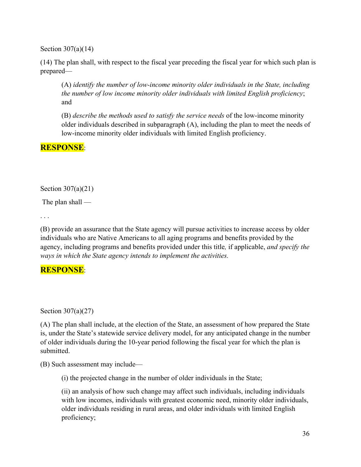Section 307(a)(14)

(14) The plan shall, with respect to the fiscal year preceding the fiscal year for which such plan is prepared—

(A) *identify the number of low-income minority older individuals in the State, including the number of low income minority older individuals with limited English proficiency*; and

(B) *describe the methods used to satisfy the service needs* of the low-income minority older individuals described in subparagraph (A), including the plan to meet the needs of low-income minority older individuals with limited English proficiency.

## **RESPONSE**:

Section 307(a)(21)

The plan shall  $-$ 

. . .

(B) provide an assurance that the State agency will pursue activities to increase access by older individuals who are Native Americans to all aging programs and benefits provided by the agency, including programs and benefits provided under this title*,* if applicable, *and specify the ways in which the State agency intends to implement the activities.* 

## **RESPONSE**:

Section 307(a)(27)

(A) The plan shall include, at the election of the State, an assessment of how prepared the State is, under the State's statewide service delivery model, for any anticipated change in the number of older individuals during the 10-year period following the fiscal year for which the plan is submitted.

(B) Such assessment may include—

(i) the projected change in the number of older individuals in the State;

(ii) an analysis of how such change may affect such individuals, including individuals with low incomes, individuals with greatest economic need, minority older individuals, older individuals residing in rural areas, and older individuals with limited English proficiency;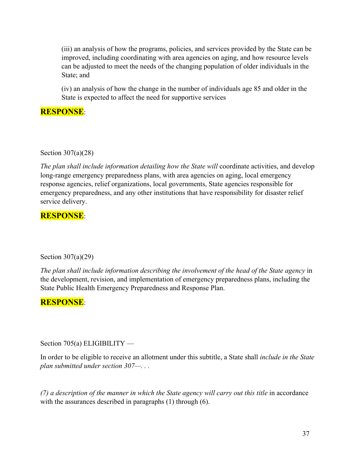(iii) an analysis of how the programs, policies, and services provided by the State can be improved, including coordinating with area agencies on aging, and how resource levels can be adjusted to meet the needs of the changing population of older individuals in the State; and

(iv) an analysis of how the change in the number of individuals age 85 and older in the State is expected to affect the need for supportive services

## **RESPONSE**:

Section 307(a)(28)

*The plan shall include information detailing how the State will coordinate activities, and develop* long-range emergency preparedness plans, with area agencies on aging, local emergency response agencies, relief organizations, local governments, State agencies responsible for emergency preparedness, and any other institutions that have responsibility for disaster relief service delivery.

## **RESPONSE**:

Section 307(a)(29)

*The plan shall include information describing the involvement of the head of the State agency* in the development, revision, and implementation of emergency preparedness plans, including the State Public Health Emergency Preparedness and Response Plan.

## **RESPONSE**:

### Section 705(a) ELIGIBILITY —

In order to be eligible to receive an allotment under this subtitle, a State shall *include in the State plan submitted under section 307—. . .*

*(7) a description of the manner in which the State agency will carry out this title* in accordance with the assurances described in paragraphs (1) through (6).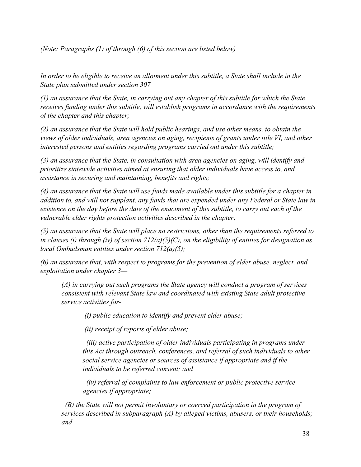*(Note: Paragraphs (1) of through (6) of this section are listed below)* 

In order to be eligible to receive an allotment under this subtitle, a State shall include in the *State plan submitted under section 307—* 

*(1) an assurance that the State, in carrying out any chapter of this subtitle for which the State receives funding under this subtitle, will establish programs in accordance with the requirements of the chapter and this chapter;* 

*(2) an assurance that the State will hold public hearings, and use other means, to obtain the views of older individuals, area agencies on aging, recipients of grants under title VI, and other interested persons and entities regarding programs carried out under this subtitle;* 

*(3) an assurance that the State, in consultation with area agencies on aging, will identify and prioritize statewide activities aimed at ensuring that older individuals have access to, and assistance in securing and maintaining, benefits and rights;* 

*(4) an assurance that the State will use funds made available under this subtitle for a chapter in addition to, and will not supplant, any funds that are expended under any Federal or State law in existence on the day before the date of the enactment of this subtitle, to carry out each of the vulnerable elder rights protection activities described in the chapter;*

*(5) an assurance that the State will place no restrictions, other than the requirements referred to in clauses (i) through (iv) of section 712(a)(5)(C), on the eligibility of entities for designation as local Ombudsman entities under section 712(a)(5);* 

*(6) an assurance that, with respect to programs for the prevention of elder abuse, neglect, and exploitation under chapter 3—* 

*(A) in carrying out such programs the State agency will conduct a program of services consistent with relevant State law and coordinated with existing State adult protective service activities for-* 

*(i) public education to identify and prevent elder abuse;* 

*(ii) receipt of reports of elder abuse;*

 *(iii) active participation of older individuals participating in programs under this Act through outreach, conferences, and referral of such individuals to other social service agencies or sources of assistance if appropriate and if the individuals to be referred consent; and* 

 *(iv) referral of complaints to law enforcement or public protective service agencies if appropriate;*

 *(B) the State will not permit involuntary or coerced participation in the program of services described in subparagraph (A) by alleged victims, abusers, or their households; and*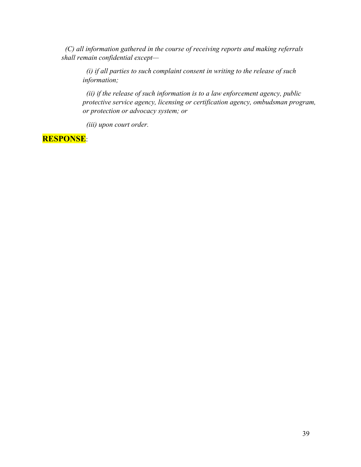*(C) all information gathered in the course of receiving reports and making referrals shall remain confidential except—* 

 *(i) if all parties to such complaint consent in writing to the release of such information;* 

 *(ii) if the release of such information is to a law enforcement agency, public protective service agency, licensing or certification agency, ombudsman program, or protection or advocacy system; or*

 *(iii) upon court order.*

**RESPONSE**: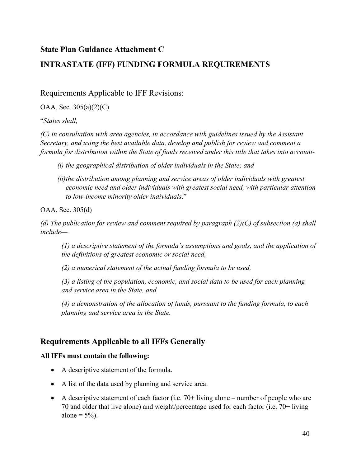## **State Plan Guidance Attachment C**

## **INTRASTATE (IFF) FUNDING FORMULA REQUIREMENTS**

Requirements Applicable to IFF Revisions:

OAA, Sec. 305(a)(2)(C)

"*States shall,* 

*(C) in consultation with area agencies, in accordance with guidelines issued by the Assistant Secretary, and using the best available data, develop and publish for review and comment a formula for distribution within the State of funds received under this title that takes into account-* 

*(i) the geographical distribution of older individuals in the State; and*

*(ii)the distribution among planning and service areas of older individuals with greatest economic need and older individuals with greatest social need, with particular attention to low-income minority older individuals*."

OAA, Sec. 305(d)

*(d) The publication for review and comment required by paragraph (2)(C) of subsection (a) shall include—* 

*(1) a descriptive statement of the formula's assumptions and goals, and the application of the definitions of greatest economic or social need,* 

*(2) a numerical statement of the actual funding formula to be used,* 

*(3) a listing of the population, economic, and social data to be used for each planning and service area in the State, and* 

*(4) a demonstration of the allocation of funds, pursuant to the funding formula, to each planning and service area in the State.* 

# **Requirements Applicable to all IFFs Generally**

### **All IFFs must contain the following:**

- A descriptive statement of the formula.
- A list of the data used by planning and service area.
- A descriptive statement of each factor (i.e.  $70+$  living alone number of people who are 70 and older that live alone) and weight/percentage used for each factor (i.e. 70+ living alone  $= 5\%$ ).